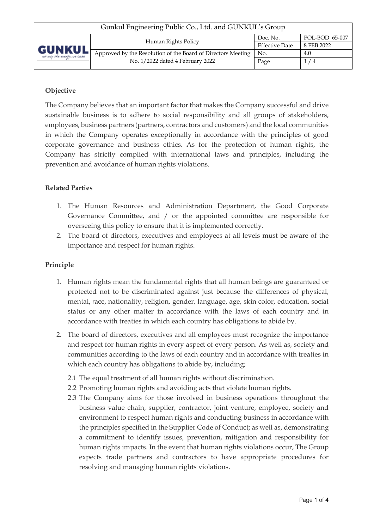| Gunkul Engineering Public Co., Ltd. and GUNKUL's Group |                                                              |                       |                |  |
|--------------------------------------------------------|--------------------------------------------------------------|-----------------------|----------------|--|
| GUNKUI<br>ver only the everyly, we care                | Human Rights Policy                                          | Doc. No.              | POL-BOD_65-007 |  |
|                                                        |                                                              | <b>Effective Date</b> | 8 FEB 2022     |  |
|                                                        | Approved by the Resolution of the Board of Directors Meeting | No.                   | 4.0            |  |
|                                                        | No. 1/2022 dated 4 February 2022                             | Page                  | 1/4            |  |
|                                                        |                                                              |                       |                |  |

# **Objective**

The Company believes that an important factor that makes the Company successful and drive sustainable business is to adhere to social responsibility and all groups of stakeholders, employees, business partners (partners, contractors and customers) and the local communities in which the Company operates exceptionally in accordance with the principles of good corporate governance and business ethics. As for the protection of human rights, the Company has strictly complied with international laws and principles, including the prevention and avoidance of human rights violations.

# **Related Parties**

- 1. The Human Resources and Administration Department, the Good Corporate Governance Committee, and / or the appointed committee are responsible for overseeing this policy to ensure that it is implemented correctly.
- 2. The board of directors, executives and employees at all levels must be aware of the importance and respect for human rights.

### **Principle**

- 1. Human rights mean the fundamental rights that all human beings are guaranteed or protected not to be discriminated against just because the differences of physical, mental, race, nationality, religion, gender, language, age, skin color, education, social status or any other matter in accordance with the laws of each country and in accordance with treaties in which each country has obligations to abide by.
- 2. The board of directors, executives and all employees must recognize the importance and respect for human rights in every aspect of every person. As well as, society and communities according to the laws of each country and in accordance with treaties in which each country has obligations to abide by, including;
	- 2.1 The equal treatment of all human rights without discrimination.
	- 2.2 Promoting human rights and avoiding acts that violate human rights.
	- 2.3 The Company aims for those involved in business operations throughout the business value chain, supplier, contractor, joint venture, employee, society and environment to respect human rights and conducting business in accordance with the principles specified in the Supplier Code of Conduct; as well as, demonstrating a commitment to identify issues, prevention, mitigation and responsibility for human rights impacts. In the event that human rights violations occur, The Group expects trade partners and contractors to have appropriate procedures for resolving and managing human rights violations.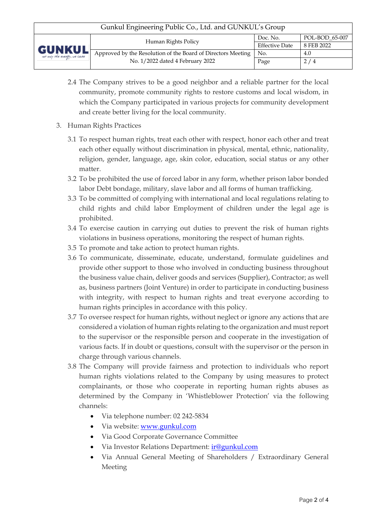| Gunkul Engineering Public Co., Ltd. and GUNKUL's Group |                                                              |                       |                |  |
|--------------------------------------------------------|--------------------------------------------------------------|-----------------------|----------------|--|
| GUNKUI<br>ver only the everyly, we care                | Human Rights Policy                                          | Doc. No.              | POL-BOD 65-007 |  |
|                                                        |                                                              | <b>Effective Date</b> | 8 FEB 2022     |  |
|                                                        | Approved by the Resolution of the Board of Directors Meeting | No.                   | 4.0            |  |
|                                                        | No. 1/2022 dated 4 February 2022                             | Page                  | 2/4            |  |
|                                                        |                                                              |                       |                |  |

- 2.4 The Company strives to be a good neighbor and a reliable partner for the local community, promote community rights to restore customs and local wisdom, in which the Company participated in various projects for community development and create better living for the local community.
- 3. Human Rights Practices
	- 3.1 To respect human rights, treat each other with respect, honor each other and treat each other equally without discrimination in physical, mental, ethnic, nationality, religion, gender, language, age, skin color, education, social status or any other matter.
	- 3.2 To be prohibited the use of forced labor in any form, whether prison labor bonded labor Debt bondage, military, slave labor and all forms of human trafficking.
	- 3.3 To be committed of complying with international and local regulations relating to child rights and child labor Employment of children under the legal age is prohibited.
	- 3.4 To exercise caution in carrying out duties to prevent the risk of human rights violations in business operations, monitoring the respect of human rights.
	- 3.5 To promote and take action to protect human rights.
	- 3.6 To communicate, disseminate, educate, understand, formulate guidelines and provide other support to those who involved in conducting business throughout the business value chain, deliver goods and services (Supplier), Contractor; as well as, business partners (Joint Venture) in order to participate in conducting business with integrity, with respect to human rights and treat everyone according to human rights principles in accordance with this policy.
	- 3.7 To oversee respect for human rights, without neglect or ignore any actions that are considered a violation of human rights relating to the organization and must report to the supervisor or the responsible person and cooperate in the investigation of various facts. If in doubt or questions, consult with the supervisor or the person in charge through various channels.
	- 3.8 The Company will provide fairness and protection to individuals who report human rights violations related to the Company by using measures to protect complainants, or those who cooperate in reporting human rights abuses as determined by the Company in 'Whistleblower Protection' via the following channels:
		- Via telephone number: 02 242-5834
		- Via website: [www.gunkul.com](http://www.gunkul.com/)
		- Via Good Corporate Governance Committee
		- Via Investor Relations Department: [ir@gunkul.com](mailto:ir@gunkul.com)
		- Via Annual General Meeting of Shareholders / Extraordinary General Meeting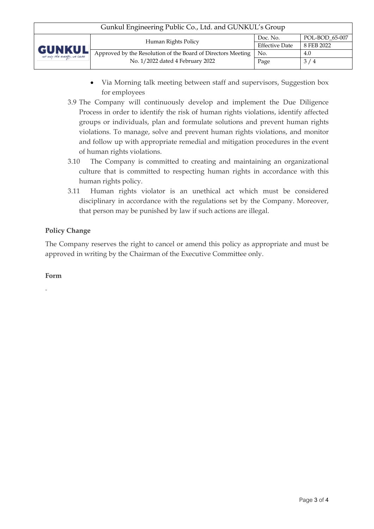| Gunkul Engineering Public Co., Ltd. and GUNKUL's Group |                                                              |                       |                |  |
|--------------------------------------------------------|--------------------------------------------------------------|-----------------------|----------------|--|
| <b>GUNKUL</b><br>ver only the everyly, we cane         | Human Rights Policy                                          | Doc. No.              | POL-BOD 65-007 |  |
|                                                        |                                                              | <b>Effective Date</b> | 8 FEB 2022     |  |
|                                                        | Approved by the Resolution of the Board of Directors Meeting | No.                   | 4.0            |  |
|                                                        | No. 1/2022 dated 4 February 2022                             | Page                  | 3/4            |  |
|                                                        |                                                              |                       |                |  |

- Via Morning talk meeting between staff and supervisors, Suggestion box for employees
- 3.9 The Company will continuously develop and implement the Due Diligence Process in order to identify the risk of human rights violations, identify affected groups or individuals, plan and formulate solutions and prevent human rights violations. To manage, solve and prevent human rights violations, and monitor and follow up with appropriate remedial and mitigation procedures in the event of human rights violations.
- 3.10 The Company is committed to creating and maintaining an organizational culture that is committed to respecting human rights in accordance with this human rights policy.
- 3.11 Human rights violator is an unethical act which must be considered disciplinary in accordance with the regulations set by the Company. Moreover, that person may be punished by law if such actions are illegal.

# **Policy Change**

The Company reserves the right to cancel or amend this policy as appropriate and must be approved in writing by the Chairman of the Executive Committee only.

### **Form**

-